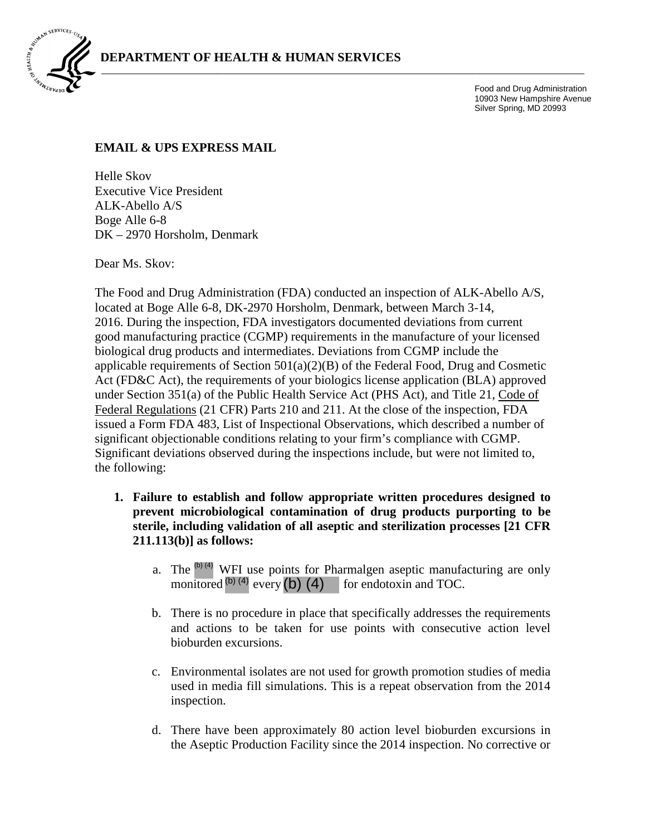

Food and Drug Administration 10903 New Hampshire Avenue Silver Spring, MD 20993

## **EMAIL & UPS EXPRESS MAIL**

Helle Skov Executive Vice President ALK-Abello A/S Boge Alle 6-8 DK – 2970 Horsholm, Denmark

Dear Ms. Skov:

The Food and Drug Administration (FDA) conducted an inspection of ALK-Abello A/S, located at Boge Alle 6-8, DK-2970 Horsholm, Denmark, between March 3-14, 2016. During the inspection, FDA investigators documented deviations from current good manufacturing practice (CGMP) requirements in the manufacture of your licensed biological drug products and intermediates. Deviations from CGMP include the applicable requirements of Section 501(a)(2)(B) of the Federal Food, Drug and Cosmetic Act (FD&C Act), the requirements of your biologics license application (BLA) approved under Section 351(a) of the Public Health Service Act (PHS Act), and Title 21, Code of Federal Regulations (21 CFR) Parts 210 and 211. At the close of the inspection, FDA issued a Form FDA 483, List of Inspectional Observations, which described a number of significant objectionable conditions relating to your firm's compliance with CGMP. Significant deviations observed during the inspections include, but were not limited to, the following:

- **1. Failure to establish and follow appropriate written procedures designed to prevent microbiological contamination of drug products purporting to be sterile, including validation of all aseptic and sterilization processes [21 CFR 211.113(b)] as follows:** 
	- a. The  $\binom{0}{1}$  WFI use points for Pharmalgen aseptic manufacturing are only monitored  $^{(b) (4)}$  every  $(b) (4)$  for endotoxin and TOC. (b) (4)  $^{(b) (4)}$  every (b) (4)
	- b. There is no procedure in place that specifically addresses the requirements and actions to be taken for use points with consecutive action level bioburden excursions.
	- c. Environmental isolates are not used for growth promotion studies of media used in media fill simulations. This is a repeat observation from the 2014 inspection.
	- d. There have been approximately 80 action level bioburden excursions in the Aseptic Production Facility since the 2014 inspection. No corrective or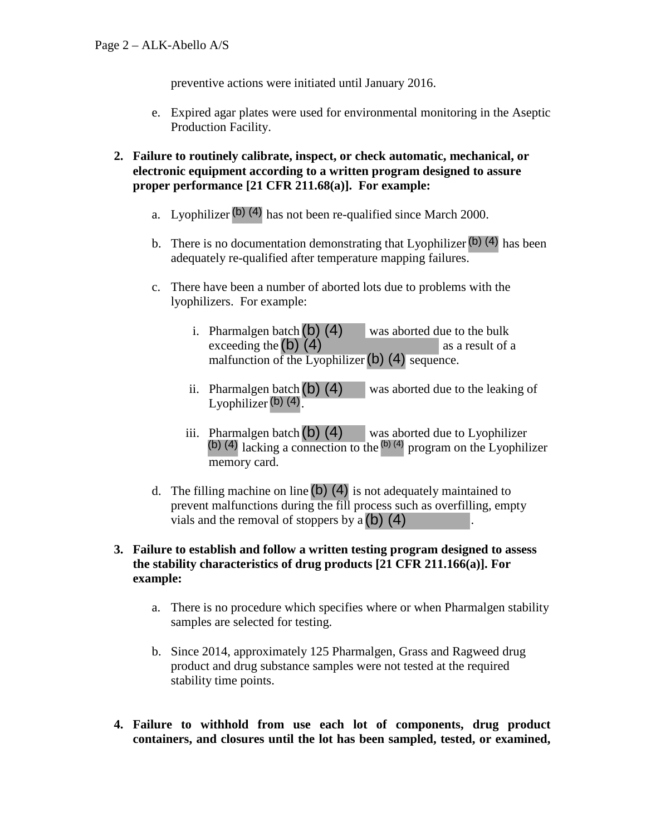preventive actions were initiated until January 2016.

- e. Expired agar plates were used for environmental monitoring in the Aseptic Production Facility.
- **2. Failure to routinely calibrate, inspect, or check automatic, mechanical, or electronic equipment according to a written program designed to assure proper performance [21 CFR 211.68(a)]. For example:** 
	- a. Lyophilizer $\left( b \right)$  (4) has not been re-qualified since March 2000.
	- b. There is no documentation demonstrating that Lyophilizer<sup>(b) (4)</sup> has been adequately re-qualified after temperature mapping failures.
	- c. There have been a number of aborted lots due to problems with the lyophilizers. For example:
		- i. Pharmalgen batch  $(b)$  (4) was aborted due to the bulk exceeding the  $(b)$   $(4)$  as a result of a Pharmalgen batch (b) (4) was aborted due to exceeding the (b) (4) was aborted due to as a sequence.
		- was aborted due to the leaking of Lyophilizer  $(b)$  (4). ii. Pharmalgen batch $(b)$  (4)
		- iii. Pharmalgen batch  $(b)$  (4) was aborted due to Lyophilizer Pharmalgen batch (b) (4) was aborted due to Lyophilizer (b) (4) lacking a connection to the <sup>(b) (4)</sup> program on the Lyophilizer memory card.
	- d. The filling machine on line (b) (4) is not adequately maintained to prevent malfunctions during the fill process such as overfilling, emp vials and the removal of stoppers by a (b) (4) prevent malfunctions during the fill process such as overfilling, empty vials and the removal of stoppers by  $a(b)$  (4)

## **3. Failure to establish and follow a written testing program designed to assess the stability characteristics of drug products [21 CFR 211.166(a)]. For example:**

- a. There is no procedure which specifies where or when Pharmalgen stability samples are selected for testing.
- b. Since 2014, approximately 125 Pharmalgen, Grass and Ragweed drug product and drug substance samples were not tested at the required stability time points.
- **4. Failure to withhold from use each lot of components, drug product containers, and closures until the lot has been sampled, tested, or examined,**